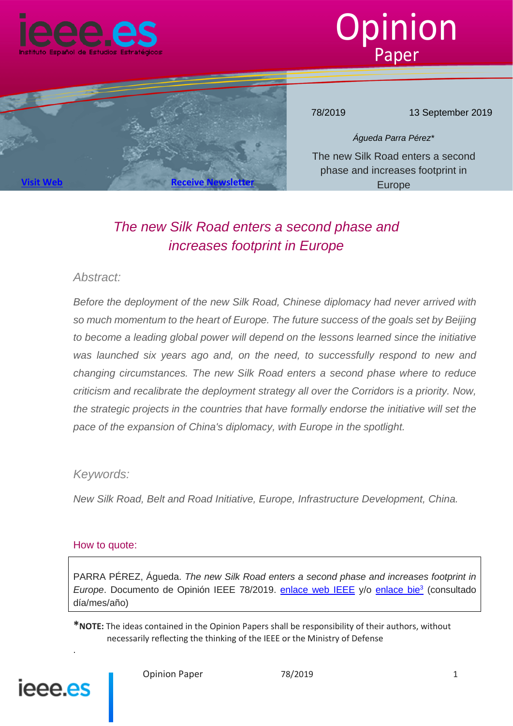



78/2019 13 September 2019

*Águeda Parra Pérez\** The new Silk Road enters a second phase and increases footprint in Europe

# *The new Silk Road enters a second phase and increases footprint in Europe*

# *Abstract:*

**[Visit Web](http://www.ieee.es/) Receive Newslet** 

*Before the deployment of the new Silk Road, Chinese diplomacy had never arrived with so much momentum to the heart of Europe. The future success of the goals set by Beijing to become a leading global power will depend on the lessons learned since the initiative was launched six years ago and, on the need, to successfully respond to new and changing circumstances. The new Silk Road enters a second phase where to reduce criticism and recalibrate the deployment strategy all over the Corridors is a priority. Now, the strategic projects in the countries that have formally endorse the initiative will set the pace of the expansion of China's diplomacy, with Europe in the spotlight.*

# *Keywords:*

*New Silk Road, Belt and Road Initiative, Europe, Infrastructure Development, China.* 

#### How to quote:

PARRA PÉREZ, Águeda. *The new Silk Road enters a second phase and increases footprint in Europe*. Documento de Opinión IEEE 78/2019. enlace web IEEE y/o enlace bie<sup>3</sup> (consultado día/mes/año)

**\*NOTE:** The ideas contained in the Opinion Papers shall be responsibility of their authors, without necessarily reflecting the thinking of the IEEE or the Ministry of Defense



.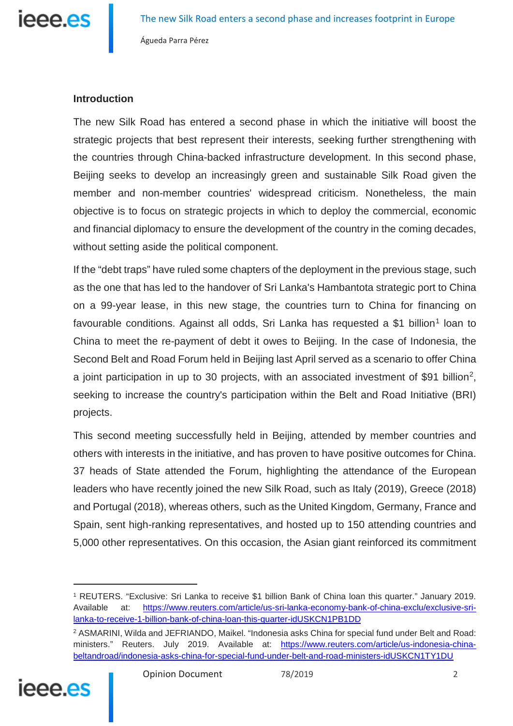

# **Introduction**

The new Silk Road has entered a second phase in which the initiative will boost the strategic projects that best represent their interests, seeking further strengthening with the countries through China-backed infrastructure development. In this second phase, Beijing seeks to develop an increasingly green and sustainable Silk Road given the member and non-member countries' widespread criticism. Nonetheless, the main objective is to focus on strategic projects in which to deploy the commercial, economic and financial diplomacy to ensure the development of the country in the coming decades, without setting aside the political component.

If the "debt traps" have ruled some chapters of the deployment in the previous stage, such as the one that has led to the handover of Sri Lanka's Hambantota strategic port to China on a 99-year lease, in this new stage, the countries turn to China for financing on favourable conditions. Against all odds, Sri Lanka has requested a \$[1](#page-1-0) billion<sup>1</sup> loan to China to meet the re-payment of debt it owes to Beijing. In the case of Indonesia, the Second Belt and Road Forum held in Beijing last April served as a scenario to offer China a joint participation in up to 30 projects, with an associated investment of \$91 billion<sup>2</sup>, seeking to increase the country's participation within the Belt and Road Initiative (BRI) projects.

This second meeting successfully held in Beijing, attended by member countries and others with interests in the initiative, and has proven to have positive outcomes for China. 37 heads of State attended the Forum, highlighting the attendance of the European leaders who have recently joined the new Silk Road, such as Italy (2019), Greece (2018) and Portugal (2018), whereas others, such as the United Kingdom, Germany, France and Spain, sent high-ranking representatives, and hosted up to 150 attending countries and 5,000 other representatives. On this occasion, the Asian giant reinforced its commitment

<span id="page-1-1"></span><span id="page-1-0"></span><sup>2</sup> ASMARINI, Wilda and JEFRIANDO, Maikel. "Indonesia asks China for special fund under Belt and Road: ministers." Reuters. July 2019. Available at: [https://www.reuters.com/article/us-indonesia-china](https://www.reuters.com/article/us-indonesia-china-beltandroad/indonesia-asks-china-for-special-fund-under-belt-and-road-ministers-idUSKCN1TY1DU)[beltandroad/indonesia-asks-china-for-special-fund-under-belt-and-road-ministers-idUSKCN1TY1DU](https://www.reuters.com/article/us-indonesia-china-beltandroad/indonesia-asks-china-for-special-fund-under-belt-and-road-ministers-idUSKCN1TY1DU)



<sup>1</sup> REUTERS. "Exclusive: Sri Lanka to receive \$1 billion Bank of China loan this quarter." January 2019. Available at: [https://www.reuters.com/article/us-sri-lanka-economy-bank-of-china-exclu/exclusive-sri](https://www.reuters.com/article/us-sri-lanka-economy-bank-of-china-exclu/exclusive-sri-lanka-to-receive-1-billion-bank-of-china-loan-this-quarter-idUSKCN1PB1DD)[lanka-to-receive-1-billion-bank-of-china-loan-this-quarter-idUSKCN1PB1DD](https://www.reuters.com/article/us-sri-lanka-economy-bank-of-china-exclu/exclusive-sri-lanka-to-receive-1-billion-bank-of-china-loan-this-quarter-idUSKCN1PB1DD)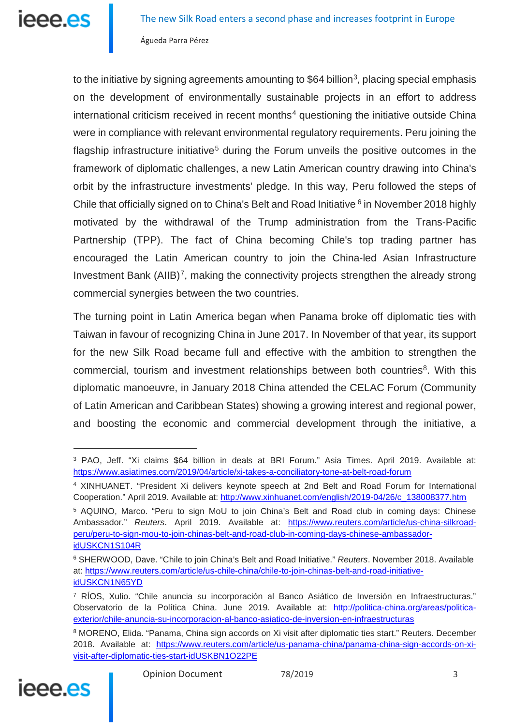to the initiative by signing agreements amounting to \$64 billion<sup>3</sup>, placing special emphasis on the development of environmentally sustainable projects in an effort to address international criticism received in recent months $4$  questioning the initiative outside China were in compliance with relevant environmental regulatory requirements. Peru joining the flagship infrastructure initiative<sup>[5](#page-2-2)</sup> during the Forum unveils the positive outcomes in the framework of diplomatic challenges, a new Latin American country drawing into China's orbit by the infrastructure investments' pledge. In this way, Peru followed the steps of Chile that officially signed on to China's Belt and Road Initiative <sup>[6](#page-2-3)</sup> in November 2018 highly motivated by the withdrawal of the Trump administration from the Trans-Pacific Partnership (TPP). The fact of China becoming Chile's top trading partner has encouraged the Latin American country to join the China-led Asian Infrastructure Investment Bank  $(AIIB)^7$  $(AIIB)^7$ , making the connectivity projects strengthen the already strong commercial synergies between the two countries.

The turning point in Latin America began when Panama broke off diplomatic ties with Taiwan in favour of recognizing China in June 2017. In November of that year, its support for the new Silk Road became full and effective with the ambition to strengthen the commercial, tourism and investment relationships between both countries<sup>8</sup>. With this diplomatic manoeuvre, in January 2018 China attended the CELAC Forum (Community of Latin American and Caribbean States) showing a growing interest and regional power, and boosting the economic and commercial development through the initiative, a

<span id="page-2-5"></span><span id="page-2-4"></span><sup>8</sup> MORENO, Elida. "Panama, China sign accords on Xi visit after diplomatic ties start." Reuters. December 2018. Available at: [https://www.reuters.com/article/us-panama-china/panama-china-sign-accords-on-xi](https://www.reuters.com/article/us-panama-china/panama-china-sign-accords-on-xi-visit-after-diplomatic-ties-start-idUSKBN1O22PE)[visit-after-diplomatic-ties-start-idUSKBN1O22PE](https://www.reuters.com/article/us-panama-china/panama-china-sign-accords-on-xi-visit-after-diplomatic-ties-start-idUSKBN1O22PE)



<span id="page-2-0"></span><sup>3</sup> PAO, Jeff. "Xi claims \$64 billion in deals at BRI Forum." Asia Times. April 2019. Available at: <https://www.asiatimes.com/2019/04/article/xi-takes-a-conciliatory-tone-at-belt-road-forum>

<span id="page-2-1"></span><sup>4</sup> XINHUANET. "President Xi delivers keynote speech at 2nd Belt and Road Forum for International Cooperation." April 2019. Available at: [http://www.xinhuanet.com/english/2019-04/26/c\\_138008377.htm](http://www.xinhuanet.com/english/2019-04/26/c_138008377.htm)

<span id="page-2-2"></span><sup>5</sup> AQUINO, Marco. "Peru to sign MoU to join China's Belt and Road club in coming days: Chinese Ambassador." *Reuters*. April 2019. Available at: [https://www.reuters.com/article/us-china-silkroad](https://www.reuters.com/article/us-china-silkroad-peru/peru-to-sign-mou-to-join-chinas-belt-and-road-club-in-coming-days-chinese-ambassador-idUSKCN1S104R)[peru/peru-to-sign-mou-to-join-chinas-belt-and-road-club-in-coming-days-chinese-ambassador](https://www.reuters.com/article/us-china-silkroad-peru/peru-to-sign-mou-to-join-chinas-belt-and-road-club-in-coming-days-chinese-ambassador-idUSKCN1S104R)[idUSKCN1S104R](https://www.reuters.com/article/us-china-silkroad-peru/peru-to-sign-mou-to-join-chinas-belt-and-road-club-in-coming-days-chinese-ambassador-idUSKCN1S104R)

<span id="page-2-3"></span><sup>6</sup> SHERWOOD, Dave. "Chile to join China's Belt and Road Initiative." *Reuters*. November 2018. Available at: [https://www.reuters.com/article/us-chile-china/chile-to-join-chinas-belt-and-road-initiative](https://www.reuters.com/article/us-chile-china/chile-to-join-chinas-belt-and-road-initiative-idUSKCN1N65YD)[idUSKCN1N65YD](https://www.reuters.com/article/us-chile-china/chile-to-join-chinas-belt-and-road-initiative-idUSKCN1N65YD)

<sup>7</sup> RÍOS, Xulio. "Chile anuncia su incorporación al Banco Asiático de Inversión en Infraestructuras." Observatorio de la Política China. June 2019. Available at: [http://politica-china.org/areas/politica](http://politica-china.org/areas/politica-exterior/chile-anuncia-su-incorporacion-al-banco-asiatico-de-inversion-en-infraestructuras)[exterior/chile-anuncia-su-incorporacion-al-banco-asiatico-de-inversion-en-infraestructuras](http://politica-china.org/areas/politica-exterior/chile-anuncia-su-incorporacion-al-banco-asiatico-de-inversion-en-infraestructuras)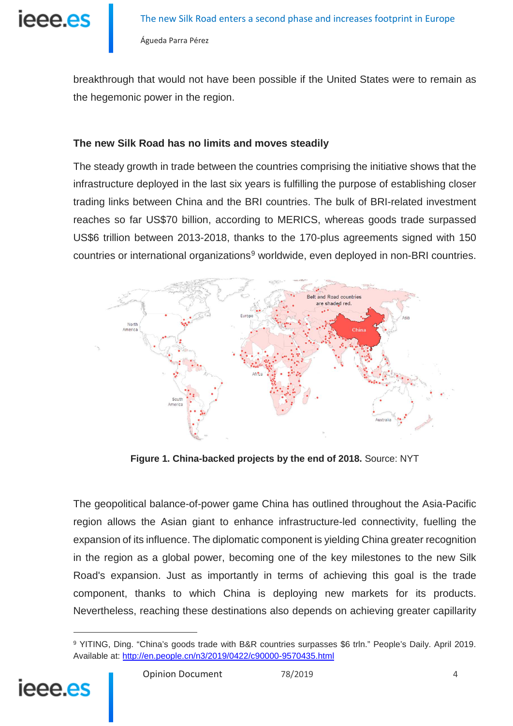ieee.es

breakthrough that would not have been possible if the United States were to remain as the hegemonic power in the region.

# **The new Silk Road has no limits and moves steadily**

The steady growth in trade between the countries comprising the initiative shows that the infrastructure deployed in the last six years is fulfilling the purpose of establishing closer trading links between China and the BRI countries. The bulk of BRI-related investment reaches so far US\$70 billion, according to MERICS, whereas goods trade surpassed US\$6 trillion between 2013-2018, thanks to the 170-plus agreements signed with 150 countries or international organizations<sup>[9](#page-3-0)</sup> worldwide, even deployed in non-BRI countries.



**Figure 1. China-backed projects by the end of 2018.** Source: NYT

The geopolitical balance-of-power game China has outlined throughout the Asia-Pacific region allows the Asian giant to enhance infrastructure-led connectivity, fuelling the expansion of its influence. The diplomatic component is yielding China greater recognition in the region as a global power, becoming one of the key milestones to the new Silk Road's expansion. Just as importantly in terms of achieving this goal is the trade component, thanks to which China is deploying new markets for its products. Nevertheless, reaching these destinations also depends on achieving greater capillarity

<span id="page-3-0"></span><sup>9</sup> YITING, Ding. "China's goods trade with B&R countries surpasses \$6 trln." People's Daily. April 2019. Available at:<http://en.people.cn/n3/2019/0422/c90000-9570435.html>



<u>.</u>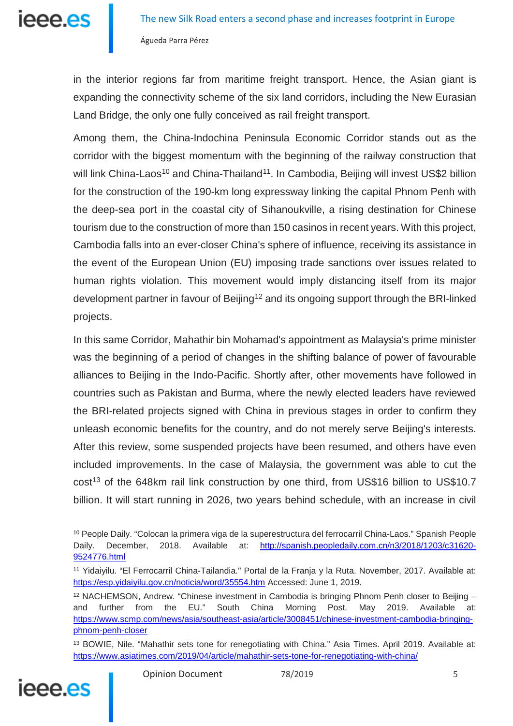in the interior regions far from maritime freight transport. Hence, the Asian giant is expanding the connectivity scheme of the six land corridors, including the New Eurasian Land Bridge, the only one fully conceived as rail freight transport.

Among them, the China-Indochina Peninsula Economic Corridor stands out as the corridor with the biggest momentum with the beginning of the railway construction that will link China-Laos<sup>[10](#page-4-0)</sup> and China-Thailand<sup>[11](#page-4-1)</sup>. In Cambodia, Beijing will invest US\$2 billion for the construction of the 190-km long expressway linking the capital Phnom Penh with the deep-sea port in the coastal city of Sihanoukville, a rising destination for Chinese tourism due to the construction of more than 150 casinos in recent years. With this project, Cambodia falls into an ever-closer China's sphere of influence, receiving its assistance in the event of the European Union (EU) imposing trade sanctions over issues related to human rights violation. This movement would imply distancing itself from its major development partner in favour of Beijing<sup>[12](#page-4-2)</sup> and its ongoing support through the BRI-linked projects.

In this same Corridor, Mahathir bin Mohamad's appointment as Malaysia's prime minister was the beginning of a period of changes in the shifting balance of power of favourable alliances to Beijing in the Indo-Pacific. Shortly after, other movements have followed in countries such as Pakistan and Burma, where the newly elected leaders have reviewed the BRI-related projects signed with China in previous stages in order to confirm they unleash economic benefits for the country, and do not merely serve Beijing's interests. After this review, some suspended projects have been resumed, and others have even included improvements. In the case of Malaysia, the government was able to cut the  $cost<sup>13</sup>$  $cost<sup>13</sup>$  $cost<sup>13</sup>$  of the 648km rail link construction by one third, from US\$16 billion to US\$10.7 billion. It will start running in 2026, two years behind schedule, with an increase in civil

<span id="page-4-3"></span><span id="page-4-2"></span><sup>13</sup> BOWIE, Nile. "Mahathir sets tone for renegotiating with China." Asia Times. April 2019. Available at: <https://www.asiatimes.com/2019/04/article/mahathir-sets-tone-for-renegotiating-with-china/>



<span id="page-4-0"></span><sup>10</sup> People Daily. "Colocan la primera viga de la superestructura del ferrocarril China-Laos." Spanish People Daily. December, 2018. Available at: [http://spanish.peopledaily.com.cn/n3/2018/1203/c31620-](http://spanish.peopledaily.com.cn/n3/2018/1203/c31620-9524776.html) [9524776.html](http://spanish.peopledaily.com.cn/n3/2018/1203/c31620-9524776.html)

<span id="page-4-1"></span><sup>11</sup> Yidaiyilu. "El Ferrocarril China-Tailandia." Portal de la Franja y la Ruta. November, 2017. Available at: <https://esp.yidaiyilu.gov.cn/noticia/word/35554.htm> Accessed: June 1, 2019.

 $12$  NACHEMSON, Andrew. "Chinese investment in Cambodia is bringing Phnom Penh closer to Beijing  $$ and further from the EU." South China Morning Post. May 2019. Available at: [https://www.scmp.com/news/asia/southeast-asia/article/3008451/chinese-investment-cambodia-bringing](https://www.scmp.com/news/asia/southeast-asia/article/3008451/chinese-investment-cambodia-bringing-phnom-penh-closer)[phnom-penh-closer](https://www.scmp.com/news/asia/southeast-asia/article/3008451/chinese-investment-cambodia-bringing-phnom-penh-closer)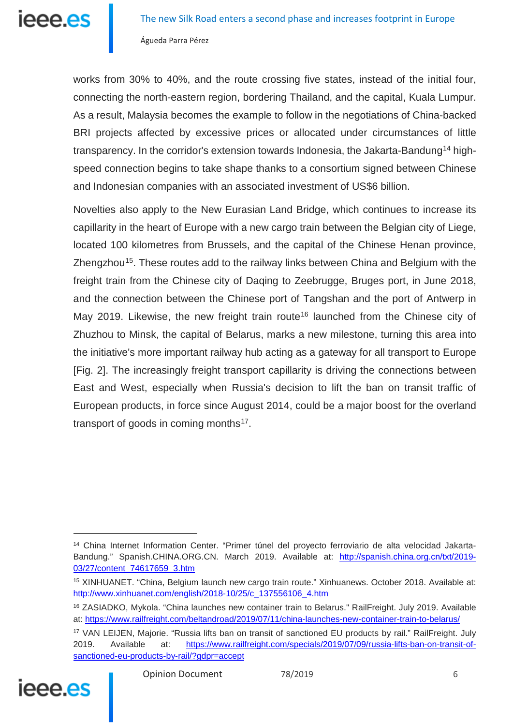

works from 30% to 40%, and the route crossing five states, instead of the initial four, connecting the north-eastern region, bordering Thailand, and the capital, Kuala Lumpur. As a result, Malaysia becomes the example to follow in the negotiations of China-backed BRI projects affected by excessive prices or allocated under circumstances of little transparency. In the corridor's extension towards Indonesia, the Jakarta-Bandung<sup>[14](#page-5-0)</sup> highspeed connection begins to take shape thanks to a consortium signed between Chinese and Indonesian companies with an associated investment of US\$6 billion.

Novelties also apply to the New Eurasian Land Bridge, which continues to increase its capillarity in the heart of Europe with a new cargo train between the Belgian city of Liege, located 100 kilometres from Brussels, and the capital of the Chinese Henan province, Zhengzhou<sup>15</sup>. These routes add to the railway links between China and Belgium with the freight train from the Chinese city of Daqing to Zeebrugge, Bruges port, in June 2018, and the connection between the Chinese port of Tangshan and the port of Antwerp in May 2019. Likewise, the new freight train route<sup>[16](#page-5-2)</sup> launched from the Chinese city of Zhuzhou to Minsk, the capital of Belarus, marks a new milestone, turning this area into the initiative's more important railway hub acting as a gateway for all transport to Europe [Fig. 2]. The increasingly freight transport capillarity is driving the connections between East and West, especially when Russia's decision to lift the ban on transit traffic of European products, in force since August 2014, could be a major boost for the overland transport of goods in coming months<sup>17</sup>.

<span id="page-5-3"></span><span id="page-5-2"></span><span id="page-5-1"></span><sup>17</sup> VAN LEIJEN, Majorie. "Russia lifts ban on transit of sanctioned EU products by rail." RailFreight. July 2019. Available at: [https://www.railfreight.com/specials/2019/07/09/russia-lifts-ban-on-transit-of](https://www.railfreight.com/specials/2019/07/09/russia-lifts-ban-on-transit-of-sanctioned-eu-products-by-rail/?gdpr=accept)[sanctioned-eu-products-by-rail/?gdpr=accept](https://www.railfreight.com/specials/2019/07/09/russia-lifts-ban-on-transit-of-sanctioned-eu-products-by-rail/?gdpr=accept)



<span id="page-5-0"></span><sup>14</sup> China Internet Information Center. "Primer túnel del proyecto ferroviario de alta velocidad JakartaBandung." Spanish.CHINA.ORG.CN. March 2019. Available at: [http://spanish.china.org.cn/txt/2019-](http://spanish.china.org.cn/txt/2019-03/27/content_74617659_3.htm) [03/27/content\\_74617659\\_3.htm](http://spanish.china.org.cn/txt/2019-03/27/content_74617659_3.htm)

<sup>15</sup> XINHUANET. "China, Belgium launch new cargo train route." Xinhuanews. October 2018. Available at: [http://www.xinhuanet.com/english/2018-10/25/c\\_137556106\\_4.htm](http://www.xinhuanet.com/english/2018-10/25/c_137556106_4.htm)

<sup>16</sup> ZASIADKO, Mykola. "China launches new container train to Belarus." RailFreight. July 2019. Available at: <https://www.railfreight.com/beltandroad/2019/07/11/china-launches-new-container-train-to-belarus/>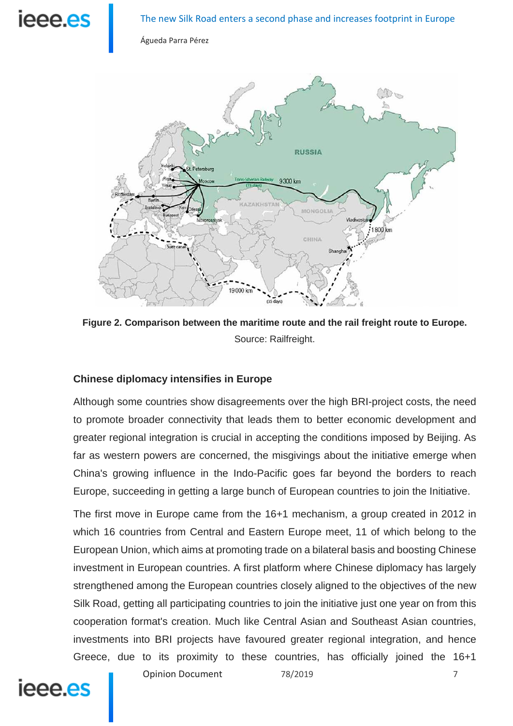# **Ieee es**

Águeda Parra Pérez



**Figure 2. Comparison between the maritime route and the rail freight route to Europe.** Source: Railfreight.

# **Chinese diplomacy intensifies in Europe**

Although some countries show disagreements over the high BRI-project costs, the need to promote broader connectivity that leads them to better economic development and greater regional integration is crucial in accepting the conditions imposed by Beijing. As far as western powers are concerned, the misgivings about the initiative emerge when China's growing influence in the Indo-Pacific goes far beyond the borders to reach Europe, succeeding in getting a large bunch of European countries to join the Initiative.

The first move in Europe came from the 16+1 mechanism, a group created in 2012 in which 16 countries from Central and Eastern Europe meet, 11 of which belong to the European Union, which aims at promoting trade on a bilateral basis and boosting Chinese investment in European countries. A first platform where Chinese diplomacy has largely strengthened among the European countries closely aligned to the objectives of the new Silk Road, getting all participating countries to join the initiative just one year on from this cooperation format's creation. Much like Central Asian and Southeast Asian countries, investments into BRI projects have favoured greater regional integration, and hence Greece, due to its proximity to these countries, has officially joined the 16+1

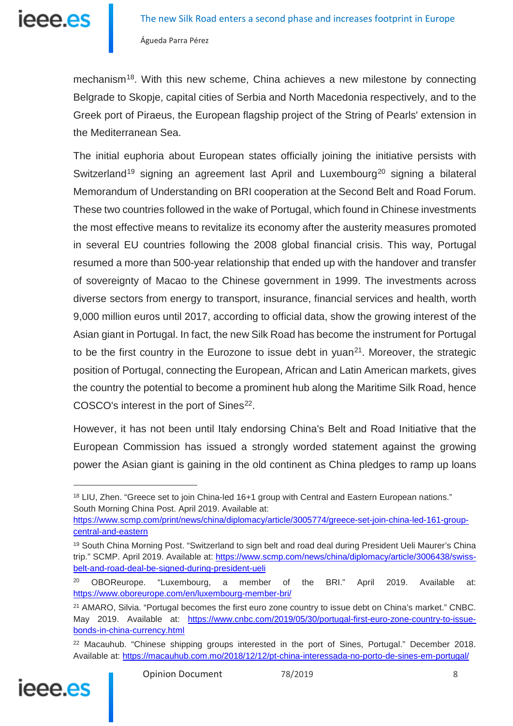mechanism<sup>18</sup>. With this new scheme, China achieves a new milestone by connecting Belgrade to Skopje, capital cities of Serbia and North Macedonia respectively, and to the Greek port of Piraeus, the European flagship project of the String of Pearls' extension in the Mediterranean Sea.

The initial euphoria about European states officially joining the initiative persists with Switzerland<sup>[19](#page-7-1)</sup> signing an agreement last April and Luxembourg<sup>[20](#page-7-2)</sup> signing a bilateral Memorandum of Understanding on BRI cooperation at the Second Belt and Road Forum. These two countries followed in the wake of Portugal, which found in Chinese investments the most effective means to revitalize its economy after the austerity measures promoted in several EU countries following the 2008 global financial crisis. This way, Portugal resumed a more than 500-year relationship that ended up with the handover and transfer of sovereignty of Macao to the Chinese government in 1999. The investments across diverse sectors from energy to transport, insurance, financial services and health, worth 9,000 million euros until 2017, according to official data, show the growing interest of the Asian giant in Portugal. In fact, the new Silk Road has become the instrument for Portugal to be the first country in the Eurozone to issue debt in yuan<sup>[21](#page-7-3)</sup>. Moreover, the strategic position of Portugal, connecting the European, African and Latin American markets, gives the country the potential to become a prominent hub along the Maritime Silk Road, hence COSCO's interest in the port of Sines<sup>22</sup>.

However, it has not been until Italy endorsing China's Belt and Road Initiative that the European Commission has issued a strongly worded statement against the growing power the Asian giant is gaining in the old continent as China pledges to ramp up loans

<span id="page-7-4"></span><span id="page-7-3"></span><span id="page-7-2"></span><sup>&</sup>lt;sup>22</sup> Macauhub. "Chinese shipping groups interested in the port of Sines, Portugal." December 2018. Available at:<https://macauhub.com.mo/2018/12/12/pt-china-interessada-no-porto-de-sines-em-portugal/>



<span id="page-7-0"></span><sup>18</sup> LIU, Zhen. "Greece set to join China-led 16+1 group with Central and Eastern European nations." South Morning China Post. April 2019. Available at:

[https://www.scmp.com/print/news/china/diplomacy/article/3005774/greece-set-join-china-led-161-group](https://www.scmp.com/print/news/china/diplomacy/article/3005774/greece-set-join-china-led-161-group-central-and-eastern)[central-and-eastern](https://www.scmp.com/print/news/china/diplomacy/article/3005774/greece-set-join-china-led-161-group-central-and-eastern)

<span id="page-7-1"></span><sup>&</sup>lt;sup>19</sup> South China Morning Post. "Switzerland to sign belt and road deal during President Ueli Maurer's China trip." SCMP. April 2019. Available at: [https://www.scmp.com/news/china/diplomacy/article/3006438/swiss](https://www.scmp.com/news/china/diplomacy/article/3006438/swiss-belt-and-road-deal-be-signed-during-president-ueli)[belt-and-road-deal-be-signed-during-president-ueli](https://www.scmp.com/news/china/diplomacy/article/3006438/swiss-belt-and-road-deal-be-signed-during-president-ueli)

<sup>&</sup>lt;sup>20</sup> OBOReurope. "Luxembourg, a member of the BRI." April 2019. Available at: <https://www.oboreurope.com/en/luxembourg-member-bri/>

<sup>21</sup> AMARO, Silvia. "Portugal becomes the first euro zone country to issue debt on China's market." CNBC. May 2019. Available at: [https://www.cnbc.com/2019/05/30/portugal-first-euro-zone-country-to-issue](https://www.cnbc.com/2019/05/30/portugal-first-euro-zone-country-to-issue-bonds-in-china-currency.html)[bonds-in-china-currency.html](https://www.cnbc.com/2019/05/30/portugal-first-euro-zone-country-to-issue-bonds-in-china-currency.html)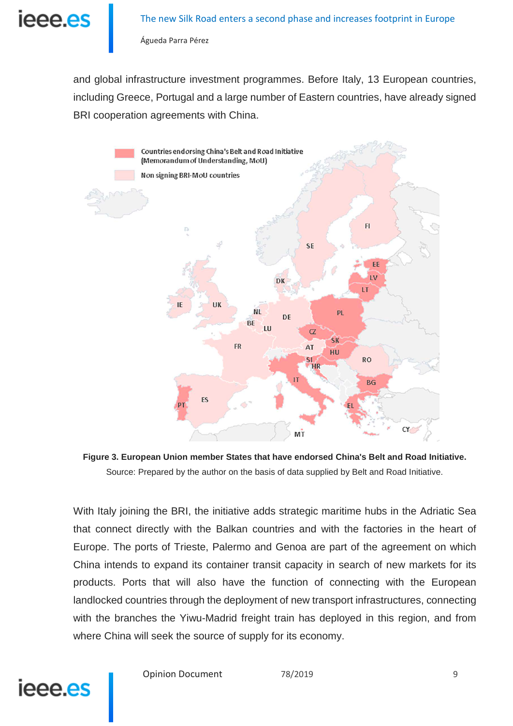

and global infrastructure investment programmes. Before Italy, 13 European countries, including Greece, Portugal and a large number of Eastern countries, have already signed BRI cooperation agreements with China.



**Figure 3. European Union member States that have endorsed China's Belt and Road Initiative.**  Source: Prepared by the author on the basis of data supplied by Belt and Road Initiative.

With Italy joining the BRI, the initiative adds strategic maritime hubs in the Adriatic Sea that connect directly with the Balkan countries and with the factories in the heart of Europe. The ports of Trieste, Palermo and Genoa are part of the agreement on which China intends to expand its container transit capacity in search of new markets for its products. Ports that will also have the function of connecting with the European landlocked countries through the deployment of new transport infrastructures, connecting with the branches the Yiwu-Madrid freight train has deployed in this region, and from where China will seek the source of supply for its economy.



Opinion Document 78/2019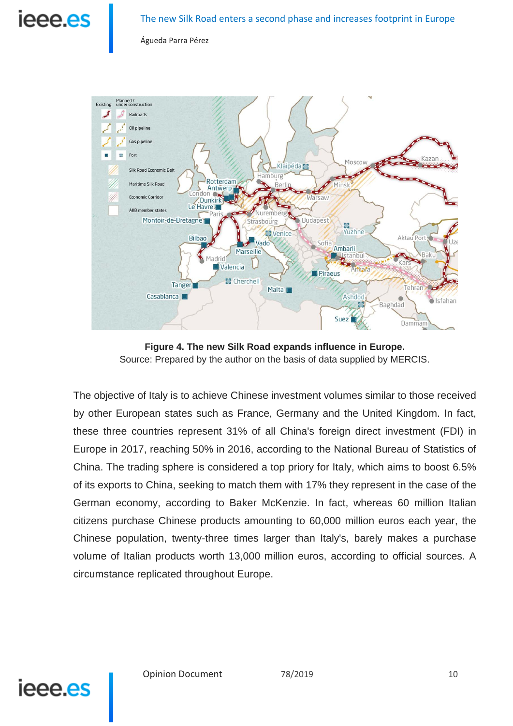



**Figure 4. The new Silk Road expands influence in Europe.**  Source: Prepared by the author on the basis of data supplied by MERCIS.

The objective of Italy is to achieve Chinese investment volumes similar to those received by other European states such as France, Germany and the United Kingdom. In fact, these three countries represent 31% of all China's foreign direct investment (FDI) in Europe in 2017, reaching 50% in 2016, according to the National Bureau of Statistics of China. The trading sphere is considered a top priory for Italy, which aims to boost 6.5% of its exports to China, seeking to match them with 17% they represent in the case of the German economy, according to Baker McKenzie. In fact, whereas 60 million Italian citizens purchase Chinese products amounting to 60,000 million euros each year, the Chinese population, twenty-three times larger than Italy's, barely makes a purchase volume of Italian products worth 13,000 million euros, according to official sources. A circumstance replicated throughout Europe.



Opinion Document 78/2019 10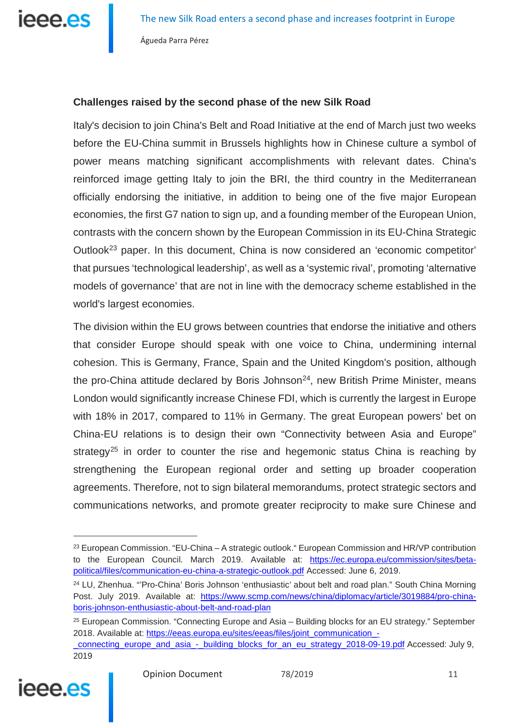

#### **Challenges raised by the second phase of the new Silk Road**

Italy's decision to join China's Belt and Road Initiative at the end of March just two weeks before the EU-China summit in Brussels highlights how in Chinese culture a symbol of power means matching significant accomplishments with relevant dates. China's reinforced image getting Italy to join the BRI, the third country in the Mediterranean officially endorsing the initiative, in addition to being one of the five major European economies, the first G7 nation to sign up, and a founding member of the European Union, contrasts with the concern shown by the European Commission in its EU-China Strategic Outlook[23](#page-10-0) paper. In this document, China is now considered an 'economic competitor' that pursues 'technological leadership', as well as a 'systemic rival', promoting 'alternative models of governance' that are not in line with the democracy scheme established in the world's largest economies.

The division within the EU grows between countries that endorse the initiative and others that consider Europe should speak with one voice to China, undermining internal cohesion. This is Germany, France, Spain and the United Kingdom's position, although the pro-China attitude declared by Boris Johnson<sup>[24](#page-10-1)</sup>, new British Prime Minister, means London would significantly increase Chinese FDI, which is currently the largest in Europe with 18% in 2017, compared to 11% in Germany. The great European powers' bet on China-EU relations is to design their own "Connectivity between Asia and Europe" strategy<sup>[25](#page-10-2)</sup> in order to counter the rise and hegemonic status China is reaching by strengthening the European regional order and setting up broader cooperation agreements. Therefore, not to sign bilateral memorandums, protect strategic sectors and communications networks, and promote greater reciprocity to make sure Chinese and

<span id="page-10-2"></span><span id="page-10-1"></span>[\\_connecting\\_europe\\_and\\_asia\\_-\\_building\\_blocks\\_for\\_an\\_eu\\_strategy\\_2018-09-19.pdf](https://eeas.europa.eu/sites/eeas/files/joint_communication_-_connecting_europe_and_asia_-_building_blocks_for_an_eu_strategy_2018-09-19.pdf) Accessed: July 9, 2019



<span id="page-10-0"></span> $23$  European Commission. "EU-China – A strategic outlook." European Commission and HR/VP contribution to the European Council. March 2019. Available at: [https://ec.europa.eu/commission/sites/beta](https://ec.europa.eu/commission/sites/beta-political/files/communication-eu-china-a-strategic-outlook.pdf)[political/files/communication-eu-china-a-strategic-outlook.pdf](https://ec.europa.eu/commission/sites/beta-political/files/communication-eu-china-a-strategic-outlook.pdf) Accessed: June 6, 2019.

<sup>&</sup>lt;sup>24</sup> LU, Zhenhua. "'Pro-China' Boris Johnson 'enthusiastic' about belt and road plan." South China Morning Post. July 2019. Available at: [https://www.scmp.com/news/china/diplomacy/article/3019884/pro-china](https://www.scmp.com/news/china/diplomacy/article/3019884/pro-china-boris-johnson-enthusiastic-about-belt-and-road-plan)[boris-johnson-enthusiastic-about-belt-and-road-plan](https://www.scmp.com/news/china/diplomacy/article/3019884/pro-china-boris-johnson-enthusiastic-about-belt-and-road-plan)

 $25$  European Commission. "Connecting Europe and Asia – Building blocks for an EU strategy." September 2018. Available at: [https://eeas.europa.eu/sites/eeas/files/joint\\_communication\\_-](https://eeas.europa.eu/sites/eeas/files/joint_communication_-_connecting_europe_and_asia_-_building_blocks_for_an_eu_strategy_2018-09-19.pdf)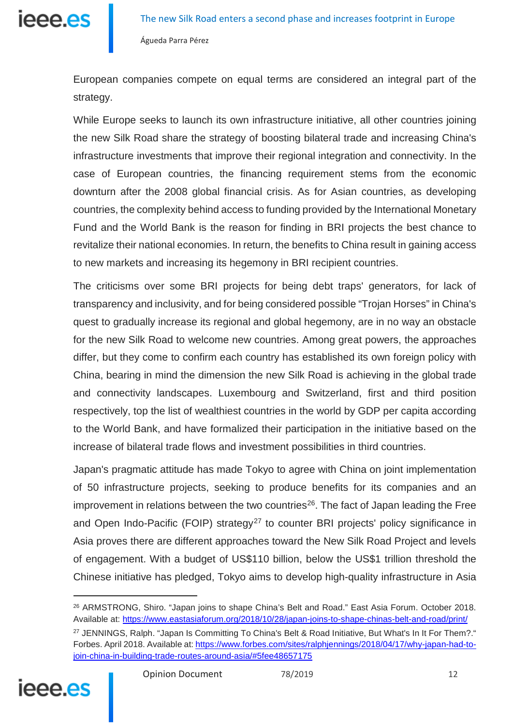

European companies compete on equal terms are considered an integral part of the strategy.

While Europe seeks to launch its own infrastructure initiative, all other countries joining the new Silk Road share the strategy of boosting bilateral trade and increasing China's infrastructure investments that improve their regional integration and connectivity. In the case of European countries, the financing requirement stems from the economic downturn after the 2008 global financial crisis. As for Asian countries, as developing countries, the complexity behind access to funding provided by the International Monetary Fund and the World Bank is the reason for finding in BRI projects the best chance to revitalize their national economies. In return, the benefits to China result in gaining access to new markets and increasing its hegemony in BRI recipient countries.

The criticisms over some BRI projects for being debt traps' generators, for lack of transparency and inclusivity, and for being considered possible "Trojan Horses" in China's quest to gradually increase its regional and global hegemony, are in no way an obstacle for the new Silk Road to welcome new countries. Among great powers, the approaches differ, but they come to confirm each country has established its own foreign policy with China, bearing in mind the dimension the new Silk Road is achieving in the global trade and connectivity landscapes. Luxembourg and Switzerland, first and third position respectively, top the list of wealthiest countries in the world by GDP per capita according to the World Bank, and have formalized their participation in the initiative based on the increase of bilateral trade flows and investment possibilities in third countries.

Japan's pragmatic attitude has made Tokyo to agree with China on joint implementation of 50 infrastructure projects, seeking to produce benefits for its companies and an improvement in relations between the two countries<sup>26</sup>. The fact of Japan leading the Free and Open Indo-Pacific (FOIP) strategy<sup>[27](#page-11-1)</sup> to counter BRI projects' policy significance in Asia proves there are different approaches toward the New Silk Road Project and levels of engagement. With a budget of US\$110 billion, below the US\$1 trillion threshold the Chinese initiative has pledged, Tokyo aims to develop high-quality infrastructure in Asia

<span id="page-11-1"></span><span id="page-11-0"></span><sup>&</sup>lt;sup>27</sup> JENNINGS, Ralph. "Japan Is Committing To China's Belt & Road Initiative, But What's In It For Them?." Forbes. April 2018. Available at: [https://www.forbes.com/sites/ralphjennings/2018/04/17/why-japan-had-to](https://www.forbes.com/sites/ralphjennings/2018/04/17/why-japan-had-to-join-china-in-building-trade-routes-around-asia/#5fee48657175)[join-china-in-building-trade-routes-around-asia/#5fee48657175](https://www.forbes.com/sites/ralphjennings/2018/04/17/why-japan-had-to-join-china-in-building-trade-routes-around-asia/#5fee48657175)



<sup>26</sup> ARMSTRONG, Shiro. "Japan joins to shape China's Belt and Road." East Asia Forum. October 2018. Available at: <https://www.eastasiaforum.org/2018/10/28/japan-joins-to-shape-chinas-belt-and-road/print/>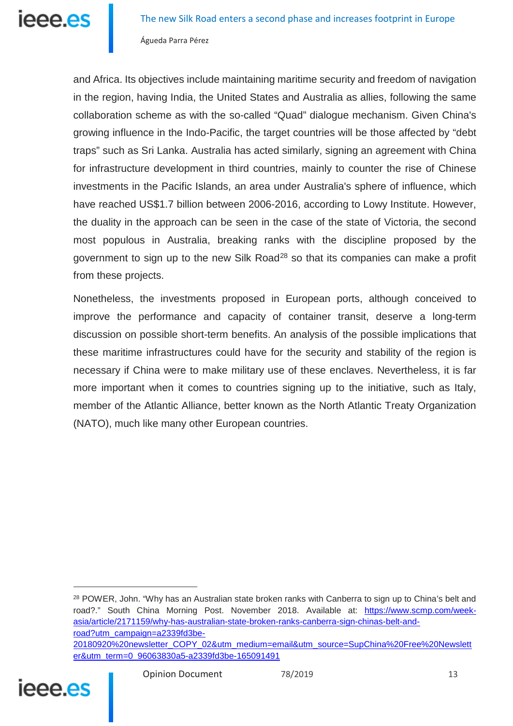

and Africa. Its objectives include maintaining maritime security and freedom of navigation in the region, having India, the United States and Australia as allies, following the same collaboration scheme as with the so-called "Quad" dialogue mechanism. Given China's growing influence in the Indo-Pacific, the target countries will be those affected by "debt traps" such as Sri Lanka. Australia has acted similarly, signing an agreement with China for infrastructure development in third countries, mainly to counter the rise of Chinese investments in the Pacific Islands, an area under Australia's sphere of influence, which have reached US\$1.7 billion between 2006-2016, according to Lowy Institute. However, the duality in the approach can be seen in the case of the state of Victoria, the second most populous in Australia, breaking ranks with the discipline proposed by the government to sign up to the new Silk Road<sup>[28](#page-12-0)</sup> so that its companies can make a profit from these projects.

Nonetheless, the investments proposed in European ports, although conceived to improve the performance and capacity of container transit, deserve a long-term discussion on possible short-term benefits. An analysis of the possible implications that these maritime infrastructures could have for the security and stability of the region is necessary if China were to make military use of these enclaves. Nevertheless, it is far more important when it comes to countries signing up to the initiative, such as Italy, member of the Atlantic Alliance, better known as the North Atlantic Treaty Organization (NATO), much like many other European countries.

<span id="page-12-0"></span>[er&utm\\_term=0\\_96063830a5-a2339fd3be-165091491](https://www.scmp.com/week-asia/article/2171159/why-has-australian-state-broken-ranks-canberra-sign-chinas-belt-and-road?utm_campaign=a2339fd3be-20180920%20newsletter_COPY_02&utm_medium=email&utm_source=SupChina%20Free%20Newsletter&utm_term=0_96063830a5-a2339fd3be-165091491)



<sup>&</sup>lt;sup>28</sup> POWER, John. "Why has an Australian state broken ranks with Canberra to sign up to China's belt and road?." South China Morning Post. November 2018. Available at: [https://www.scmp.com/week](https://www.scmp.com/week-asia/article/2171159/why-has-australian-state-broken-ranks-canberra-sign-chinas-belt-and-road?utm_campaign=a2339fd3be-20180920%20newsletter_COPY_02&utm_medium=email&utm_source=SupChina%20Free%20Newsletter&utm_term=0_96063830a5-a2339fd3be-165091491)[asia/article/2171159/why-has-australian-state-broken-ranks-canberra-sign-chinas-belt-and](https://www.scmp.com/week-asia/article/2171159/why-has-australian-state-broken-ranks-canberra-sign-chinas-belt-and-road?utm_campaign=a2339fd3be-20180920%20newsletter_COPY_02&utm_medium=email&utm_source=SupChina%20Free%20Newsletter&utm_term=0_96063830a5-a2339fd3be-165091491)[road?utm\\_campaign=a2339fd3be-](https://www.scmp.com/week-asia/article/2171159/why-has-australian-state-broken-ranks-canberra-sign-chinas-belt-and-road?utm_campaign=a2339fd3be-20180920%20newsletter_COPY_02&utm_medium=email&utm_source=SupChina%20Free%20Newsletter&utm_term=0_96063830a5-a2339fd3be-165091491)[20180920%20newsletter\\_COPY\\_02&utm\\_medium=email&utm\\_source=SupChina%20Free%20Newslett](https://www.scmp.com/week-asia/article/2171159/why-has-australian-state-broken-ranks-canberra-sign-chinas-belt-and-road?utm_campaign=a2339fd3be-20180920%20newsletter_COPY_02&utm_medium=email&utm_source=SupChina%20Free%20Newsletter&utm_term=0_96063830a5-a2339fd3be-165091491)